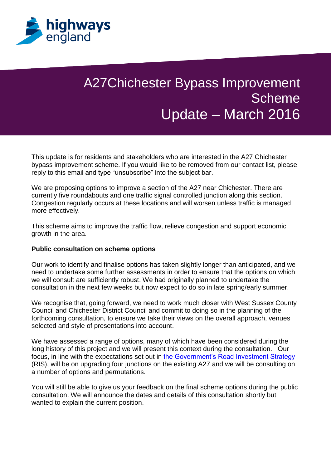

## A27Chichester Bypass Improvement **Scheme** Update – March 2016

This update is for residents and stakeholders who are interested in the A27 Chichester bypass improvement scheme. If you would like to be removed from our contact list, please reply to this email and type "unsubscribe" into the subject bar.

We are proposing options to improve a section of the A27 near Chichester. There are currently five roundabouts and one traffic signal controlled junction along this section. Congestion regularly occurs at these locations and will worsen unless traffic is managed more effectively.

This scheme aims to improve the traffic flow, relieve congestion and support economic growth in the area.

## **Public consultation on scheme options**

Our work to identify and finalise options has taken slightly longer than anticipated, and we need to undertake some further assessments in order to ensure that the options on which we will consult are sufficiently robust. We had originally planned to undertake the consultation in the next few weeks but now expect to do so in late spring/early summer.

We recognise that, going forward, we need to work much closer with West Sussex County Council and Chichester District Council and commit to doing so in the planning of the forthcoming consultation, to ensure we take their views on the overall approach, venues selected and style of presentations into account.

We have assessed a range of options, many of which have been considered during the long history of this project and we will present this context during the consultation. Our focus, in line with the expectations set out in [the Government's Road Investment Strategy](https://www.gov.uk/government/collections/road-investment-strategy) (RIS), will be on upgrading four junctions on the existing A27 and we will be consulting on a number of options and permutations.

You will still be able to give us your feedback on the final scheme options during the public consultation. We will announce the dates and details of this consultation shortly but wanted to explain the current position.